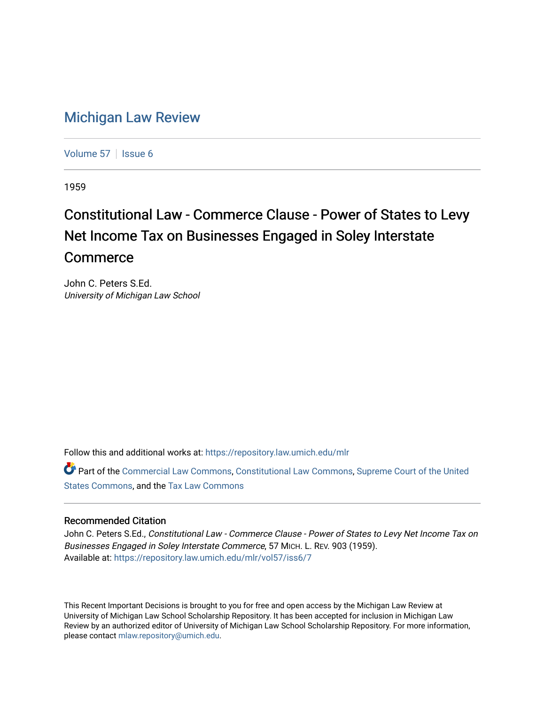## [Michigan Law Review](https://repository.law.umich.edu/mlr)

[Volume 57](https://repository.law.umich.edu/mlr/vol57) | [Issue 6](https://repository.law.umich.edu/mlr/vol57/iss6)

1959

## Constitutional Law - Commerce Clause - Power of States to Levy Net Income Tax on Businesses Engaged in Soley Interstate Commerce

John C. Peters S.Ed. University of Michigan Law School

Follow this and additional works at: [https://repository.law.umich.edu/mlr](https://repository.law.umich.edu/mlr?utm_source=repository.law.umich.edu%2Fmlr%2Fvol57%2Fiss6%2F7&utm_medium=PDF&utm_campaign=PDFCoverPages) 

Part of the [Commercial Law Commons](http://network.bepress.com/hgg/discipline/586?utm_source=repository.law.umich.edu%2Fmlr%2Fvol57%2Fiss6%2F7&utm_medium=PDF&utm_campaign=PDFCoverPages), [Constitutional Law Commons](http://network.bepress.com/hgg/discipline/589?utm_source=repository.law.umich.edu%2Fmlr%2Fvol57%2Fiss6%2F7&utm_medium=PDF&utm_campaign=PDFCoverPages), [Supreme Court of the United](http://network.bepress.com/hgg/discipline/1350?utm_source=repository.law.umich.edu%2Fmlr%2Fvol57%2Fiss6%2F7&utm_medium=PDF&utm_campaign=PDFCoverPages)  [States Commons,](http://network.bepress.com/hgg/discipline/1350?utm_source=repository.law.umich.edu%2Fmlr%2Fvol57%2Fiss6%2F7&utm_medium=PDF&utm_campaign=PDFCoverPages) and the [Tax Law Commons](http://network.bepress.com/hgg/discipline/898?utm_source=repository.law.umich.edu%2Fmlr%2Fvol57%2Fiss6%2F7&utm_medium=PDF&utm_campaign=PDFCoverPages)

## Recommended Citation

John C. Peters S.Ed., Constitutional Law - Commerce Clause - Power of States to Levy Net Income Tax on Businesses Engaged in Soley Interstate Commerce, 57 MICH. L. REV. 903 (1959). Available at: [https://repository.law.umich.edu/mlr/vol57/iss6/7](https://repository.law.umich.edu/mlr/vol57/iss6/7?utm_source=repository.law.umich.edu%2Fmlr%2Fvol57%2Fiss6%2F7&utm_medium=PDF&utm_campaign=PDFCoverPages)

This Recent Important Decisions is brought to you for free and open access by the Michigan Law Review at University of Michigan Law School Scholarship Repository. It has been accepted for inclusion in Michigan Law Review by an authorized editor of University of Michigan Law School Scholarship Repository. For more information, please contact [mlaw.repository@umich.edu.](mailto:mlaw.repository@umich.edu)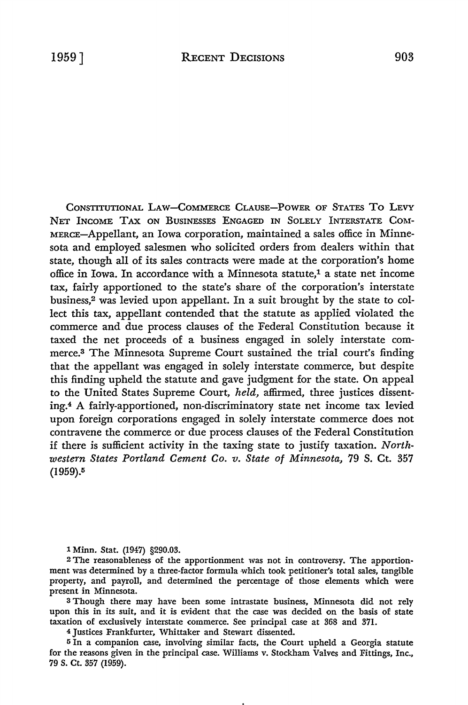CONSTITUTIONAL LAW-COMMERCE CLAUSE-POWER OF STATES To LEVY NET INCOME TAX ON BUSINESSES ENGAGED IN SOLELY INTERSTATE COM-MERCE-Appellant, an Iowa corporation, maintained a sales office in Minnesota and employed salesmen who solicited orders from dealers within that state, though all of its sales contracts were made at the corporation's home office in Iowa. In accordance with a Minnesota statute,<sup>1</sup> a state net income tax, fairly apportioned to the state's share of the corporation's interstate business,2 was levied upon appellant. In a suit brought by the state to collect this tax, appellant contended that the statute as applied violated the commerce and due process clauses of the Federal Constitution because it taxed the net proceeds of a business engaged in solely interstate commerce.3 The Minnesota Supreme Court sustained the trial court's finding that the appellant was engaged in solely interstate commerce, but despite this finding upheld the statute and gave judgment for the state. On appeal to the United States Supreme Court, *held,* affirmed, three justices dissenting.4 A fairly-apportioned, non-discriminatory state net income tax levied upon foreign corporations engaged in solely interstate commerce does not contravene the commerce or due process clauses of the Federal Constitution

if there is sufficient activity in the taxing state to justify taxation. *Northwestern States Portland Cement Co. v. State of Minnesota,* 79 S. Ct. 357 (1959).<sup>5</sup>

1 Minn. Stat. (1947) §290.03.

2 The reasonableness of the apportionment was not in controversy. The apportionment was determined by a three-factor formula which took petitioner's total sales, tangible property, and payroll, and determined the percentage of those elements which were present in Minnesota.

3 Though there may have been some intrastate business, Minnesota did not rely upon this in its suit, and it is evident that the case was decided on the basis of state taxation of exclusively interstate commerce. See principal case at 368 and 371.

<sup>4</sup>Justices Frankfurter, Whittaker and Stewart dissented.

<sup>5</sup>In a companion case, involving similar facts, the Court upheld a Georgia statute for the reasons given in the principal case. Williams v. Stockham Valves and Fittings, Inc., 79 S. Ct. 357 (1959).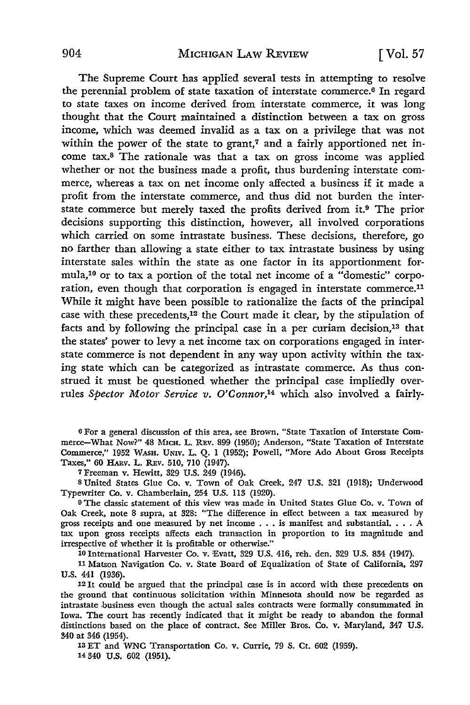The Supreme Court has applied several tests in attempting to resolve the perennial problem of state taxation of interstate commerce.6 In regard to state taxes on income derived from interstate commerce, it was long thought that the Court maintained a distinction between a tax on gross income, which was deemed invalid as a tax on a privilege that was not within the power of the state to grant,<sup> $7$ </sup> and a fairly apportioned net income tax.8 The rationale was that a tax on gross income was applied whether or not the business made a profit, thus burdening interstate commerce, whereas a tax on net income only affected a business if it made a profit from the interstate commerce, and thus did not burden the interstate commerce but merely taxed the profits derived from it.9 The prior decisions supporting this distinction, however, all involved corporations which carried on some intrastate business. These decisions, therefore, go no farther than allowing a state either to tax intrastate business by using interstate sales within the state as one factor in its apportionment formula,10 or to tax a portion of the total net income of a "domestic" corporation, even though that corporation is engaged in interstate commerce.<sup>11</sup> While it might have been possible to rationalize the facts of the principal case with these precedents,<sup>12</sup> the Court made it clear, by the stipulation of facts and by following the principal case in a per curiam decision,13 that the states' power to levy a net income tax on corporations engaged in interstate commerce is not dependent in any way upon activity within the taxing state which can be categorized as intrastate commerce. As thus construed it must be questioned whether the principal case impliedly overrules *Spector Motor Service v. O'Connor,1*4 which also involved a fairly-

6 For a general discussion of this area, see Brown, "State Taxation of Interstate Commerce-What Now?" 48 MICH. L. REv. 899 (1950); Anderson, "State Taxation of Interstate Commerce," 1952 WASH. UNIV. L. Q. 1 (1952); Powell, "More Ado About Gross Receipts Taxes," 60 HARv. L. REv. 510, 710 (1947).

7 Freeman v. Hewitt, 329 U.S. 249 (1946).

s United States Glue Co. v. Town of Oak Creek, 247 U.S. 321 (1918); Underwood Typewriter Co. v. Chamberlain, 254 U.S. 113 (1920).

<sup>9</sup>The classic statement of this view was made in United States Glue Co. v. Town of Oak Creek, note 8 supra, at 328: "The difference in effect between a tax measured by gross receipts and one measured by net income  $\dots$  is manifest and substantial.  $\dots$  A tax upon gross receipts affects each transaction in proportion to its magnitude and irrespective of whether it is profitable or otherwise."

10 International Harvester Co. v. Evatt, 329 U.S. 416, reh. den. 329 U.S. 834 (1947).

11 Matson Navigation Co. v. State Board of Equalization of State of California, 297 U.S. 441 (1936).

12 It could be argued that the principal case is in accord with these precedents on the ground that continuous solicitation within Minnesota should now be regarded as intrastate business even though the actual sales contracts were formally consummated in Iowa. The court has recently indicated that it might be ready to abandon the formal distinctions based on the place of contract. See Miller Bros. Co. v. Maryland, 347 U.S. 340 at 346 (1954).

13 ET and WNC Transportation Co. v. Currie, 79 S. Ct. 602 (1959). 14 340 U.S. 602 (1951).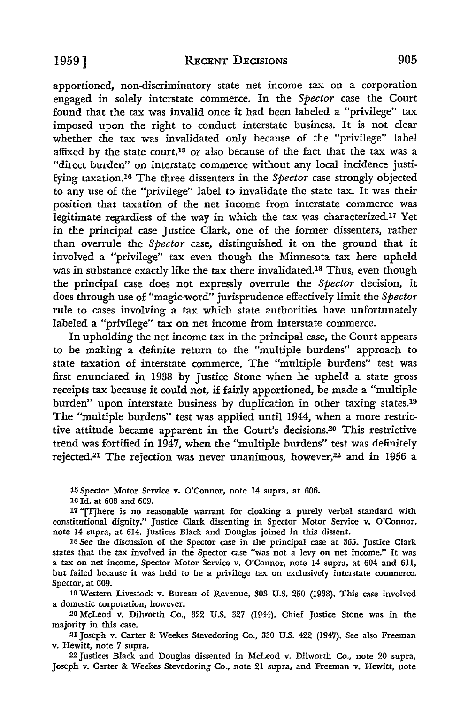apportioned, non-discriminatory state net income tax on a corporation engaged in solely interstate commerce. In the *Spector* case the Court found that the tax was invalid once it had been labeled a "privilege" tax imposed upon the right to conduct interstate business. It is not clear whether the tax was invalidated only because of the "privilege" label affixed by the state court,<sup>15</sup> or also because of the fact that the tax was a "direct burden" on interstate commerce without any local incidence justifying taxation.16 The three dissenters in the *Spector* case strongly objected to any use of the "privilege" label to invalidate the state tax. It was their position that taxation of the net income from interstate commerce was legitimate regardless of the way in which the tax was characterized.17 Yet in the principal case Justice Clark, one of the former dissenters, rather than overrule the *Spector* case, distinguished it on the ground that it involved a "privilege" tax even though the Minnesota tax here upheld was in substance exactly like the tax there invalidated.<sup>18</sup> Thus, even though the principal case does not expressly overrule the *Spector* decision, it does through use of "magic-word" jurisprudence effectively limit the *Spector*  rule to cases involving a tax which state authorities have unfortunately labeled a "privilege" tax on net income from interstate commerce.

In upholding the net income tax in the principal case, the Court appears to be making a definite return to the "multiple burdens" approach to state taxation of interstate commerce. The "multiple burdens" test was first enunciated in 1938 by Justice Stone when he upheld a state gross receipts tax because it could not, if fairly apportioned, be made a "multiple burden" upon interstate business by duplication in other taxing states.19 The "multiple burdens" test was applied until 1944, when a more restrictive attitude became apparent in the Court's decisions.20 This restrictive trend was fortified in 1947, when the "multiple burdens" test was definitely rejected.21 The rejection was never unanimous, however,22 and in 1956 a

15 Spector Motor Service v. O'Connor, note 14 supra, at 606.

16 Id. at 608 and 609.

17 "[T]here is no reasonable warrant for cloaking a purely verbal standard with constitutional dignity." Justice Clark dissenting in Spector Motor Service v. O'Connor, note 14 supra, at 614. Justices Black and Douglas joined in this dissent.

18 See the discussion of the Spector case in the principal case at 365. Justice Clark states that the tax involved in the Spector case "was not a levy on net income." It was a tax on net income, Spector Motor Service v. O'Connor, note 14 supra, at 604 and 611, but failed because it was held to be a privilege tax on exclusively interstate commerce. Spector, at 609.

19 Western Livestock v. Bureau of Revenue, 303 U.S. 250 (1938). This case involved a domestic corporation, however.

20 McLeod v. Dilworth Co., 322 U.S. 327 (1944). Chief Justice Stone was in the majority in this case.

21 Joseph v. Carter & Weekes Stevedoring Co., 330 U.S. 422 (1947). See also Freeman v. Hewitt, note 7 supra.

<sup>22</sup>Justices Black and Douglas dissented in McLeod v. Dilworth Co., note 20 supra, Joseph v. Carter & Weekes Stevedoring Co., note 21 supra, and Freeman v. Hewitt, note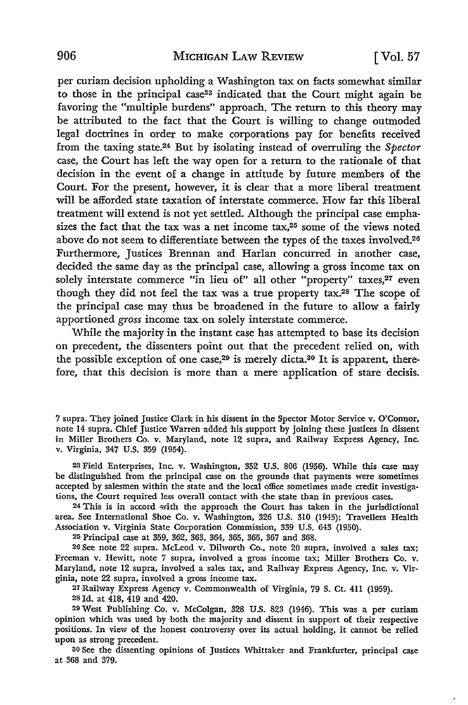per curiam decision upholding a Washington tax on facts somewhat similar to those in the principal case23 indicated that the Court might again be favoring the "multiple burdens" approach. The return to this theory may be attributed to the fact that the Court is willing to change outmoded legal doctrines in order to make corporations pay for benefits received from the taxing state.24 But by isolating instead of overruling the *Spector*  case, the Court has left the way open for a return to the rationale of that decision in the event of a change in attitude by future members of the Court. For the present, however, it is clear that a more liberal treatment will be afforded state taxation of interstate commerce. How far this liberal treatment will extend is not yet settled. Although the principal case emphasizes the fact that the tax was a net income  $\text{tax},^{25}$  some of the views noted above do not seem to differentiate between the types of the taxes involved.<sup>26</sup> Furthermore, Justices Brennan and Harlan concurred in another case, decided the same day as the principal case, allowing a gross income tax on solely interstate commerce "in lieu of" all other "property" taxes,<sup>27</sup> even though they did not feel the tax was a true property tax.28 The scope of the principal case may thus be broadened in the future to allow a fairly apportioned *gross* income tax on solely interstate commerce.

While the majority in the instant case has attempted to base its decision on precedent, the dissenters point out that the precedent relied on, with the possible exception of one case,<sup>29</sup> is merely dicta.<sup>30</sup> It is apparent, therefore, that this decision is more than a mere application of stare decisis.

7 supra. They joined Justice Clark in his dissent in the Spector Motor Service v. O'Connor, note 14 supra. Chief Justice Warren added his support by joining these justices in dissent in Miller Brothers Co. v. Maryland, note 12 supra, and Railway Express Agency, Inc. v. Virginia, 347 U.S. 359 (1954).

23 Field Enterprises, Inc. v. Washington, 352 U.S. 806 (1956). While this case may be distinguished from the principal case on the grounds that payments were sometimes accepted by salesmen within the state and the local office sometimes made credit investigations, the Court required less overall contact with the state than in previous cases.

24 This is in accord with the approach the Court has taken in the jurisdictional area. See International Shoe Co. v. Washington, 326 U.S. 310 (1945); Travellers Health Association v. Virginia State Corporation Commission, 339 U.S. 643 (1950).

25 Principal case at 359, 362, 363, 364, 365, 366, 367 and 368.

26 See note 22 supra. McLeod v. Dilworth Co., note 20 supra, involved a sales tax; Freeman v. Hewitt, note 7 supra, involved a gross income tax; Miller Brothers Co. v. Maryland, note 12 supra, involved a sales tax, and Railway Express Agency, Inc. v. Virginia, note 22 supra, involved a gross income tax.

27 Railway Express Agency v. Commonwealth of Virginia, 79 S. Ct. 411 (1959).

28 Id. at 418, 419 and 420.

<sup>29</sup>West Publishing Co. v. McColgan, 328 U.S. 823 (1946). This was a per curiam opinion which was used by ·both the majority and dissent in support of their respective positions. In view of the honest controversy over its actual holding, it cannot be relied upon as strong precedent.

<sup>30</sup>See the dissenting opinions of Justices Whittaker and Frankfurter, principal case at 368 and 379.